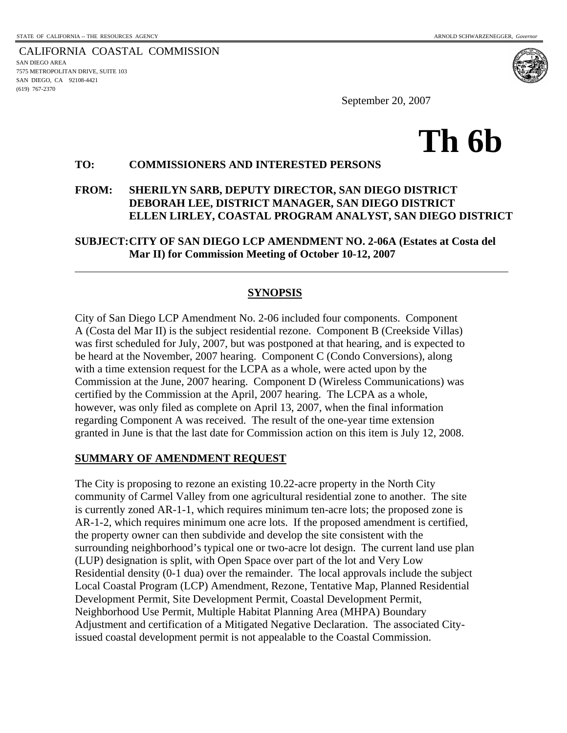CALIFORNIA COASTAL COMMISSION SAN DIEGO AREA 7575 METROPOLITAN DRIVE, SUITE 103 SAN DIEGO, CA 92108-4421 (619) 767-2370

l

September 20, 2007

# **Th 6b**

## **TO: COMMISSIONERS AND INTERESTED PERSONS**

#### **FROM: SHERILYN SARB, DEPUTY DIRECTOR, SAN DIEGO DISTRICT DEBORAH LEE, DISTRICT MANAGER, SAN DIEGO DISTRICT ELLEN LIRLEY, COASTAL PROGRAM ANALYST, SAN DIEGO DISTRICT**

**SUBJECT:CITY OF SAN DIEGO LCP AMENDMENT NO. 2-06A (Estates at Costa del Mar II) for Commission Meeting of October 10-12, 2007**

## **SYNOPSIS**

City of San Diego LCP Amendment No. 2-06 included four components. Component A (Costa del Mar II) is the subject residential rezone. Component B (Creekside Villas) was first scheduled for July, 2007, but was postponed at that hearing, and is expected to be heard at the November, 2007 hearing. Component C (Condo Conversions), along with a time extension request for the LCPA as a whole, were acted upon by the Commission at the June, 2007 hearing. Component D (Wireless Communications) was certified by the Commission at the April, 2007 hearing. The LCPA as a whole, however, was only filed as complete on April 13, 2007, when the final information regarding Component A was received. The result of the one-year time extension granted in June is that the last date for Commission action on this item is July 12, 2008.

#### **SUMMARY OF AMENDMENT REQUEST**

The City is proposing to rezone an existing 10.22-acre property in the North City community of Carmel Valley from one agricultural residential zone to another. The site is currently zoned AR-1-1, which requires minimum ten-acre lots; the proposed zone is AR-1-2, which requires minimum one acre lots. If the proposed amendment is certified, the property owner can then subdivide and develop the site consistent with the surrounding neighborhood's typical one or two-acre lot design. The current land use plan (LUP) designation is split, with Open Space over part of the lot and Very Low Residential density (0-1 dua) over the remainder. The local approvals include the subject Local Coastal Program (LCP) Amendment, Rezone, Tentative Map, Planned Residential Development Permit, Site Development Permit, Coastal Development Permit, Neighborhood Use Permit, Multiple Habitat Planning Area (MHPA) Boundary Adjustment and certification of a Mitigated Negative Declaration. The associated Cityissued coastal development permit is not appealable to the Coastal Commission.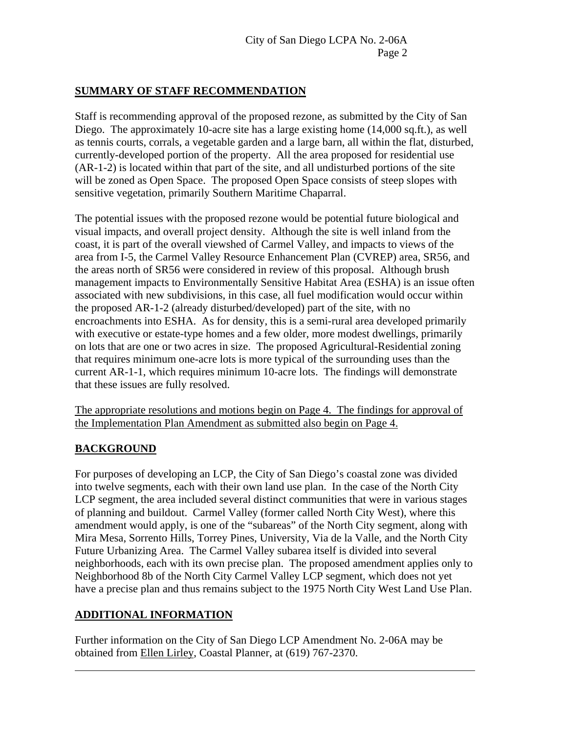#### **SUMMARY OF STAFF RECOMMENDATION**

Staff is recommending approval of the proposed rezone, as submitted by the City of San Diego. The approximately 10-acre site has a large existing home (14,000 sq.ft.), as well as tennis courts, corrals, a vegetable garden and a large barn, all within the flat, disturbed, currently-developed portion of the property. All the area proposed for residential use (AR-1-2) is located within that part of the site, and all undisturbed portions of the site will be zoned as Open Space. The proposed Open Space consists of steep slopes with sensitive vegetation, primarily Southern Maritime Chaparral.

The potential issues with the proposed rezone would be potential future biological and visual impacts, and overall project density. Although the site is well inland from the coast, it is part of the overall viewshed of Carmel Valley, and impacts to views of the area from I-5, the Carmel Valley Resource Enhancement Plan (CVREP) area, SR56, and the areas north of SR56 were considered in review of this proposal. Although brush management impacts to Environmentally Sensitive Habitat Area (ESHA) is an issue often associated with new subdivisions, in this case, all fuel modification would occur within the proposed AR-1-2 (already disturbed/developed) part of the site, with no encroachments into ESHA. As for density, this is a semi-rural area developed primarily with executive or estate-type homes and a few older, more modest dwellings, primarily on lots that are one or two acres in size. The proposed Agricultural-Residential zoning that requires minimum one-acre lots is more typical of the surrounding uses than the current AR-1-1, which requires minimum 10-acre lots. The findings will demonstrate that these issues are fully resolved.

The appropriate resolutions and motions begin on Page 4. The findings for approval of the Implementation Plan Amendment as submitted also begin on Page 4.

## **BACKGROUND**

 $\overline{a}$ 

For purposes of developing an LCP, the City of San Diego's coastal zone was divided into twelve segments, each with their own land use plan. In the case of the North City LCP segment, the area included several distinct communities that were in various stages of planning and buildout. Carmel Valley (former called North City West), where this amendment would apply, is one of the "subareas" of the North City segment, along with Mira Mesa, Sorrento Hills, Torrey Pines, University, Via de la Valle, and the North City Future Urbanizing Area. The Carmel Valley subarea itself is divided into several neighborhoods, each with its own precise plan. The proposed amendment applies only to Neighborhood 8b of the North City Carmel Valley LCP segment, which does not yet have a precise plan and thus remains subject to the 1975 North City West Land Use Plan.

## **ADDITIONAL INFORMATION**

Further information on the City of San Diego LCP Amendment No. 2-06A may be obtained from Ellen Lirley, Coastal Planner, at (619) 767-2370.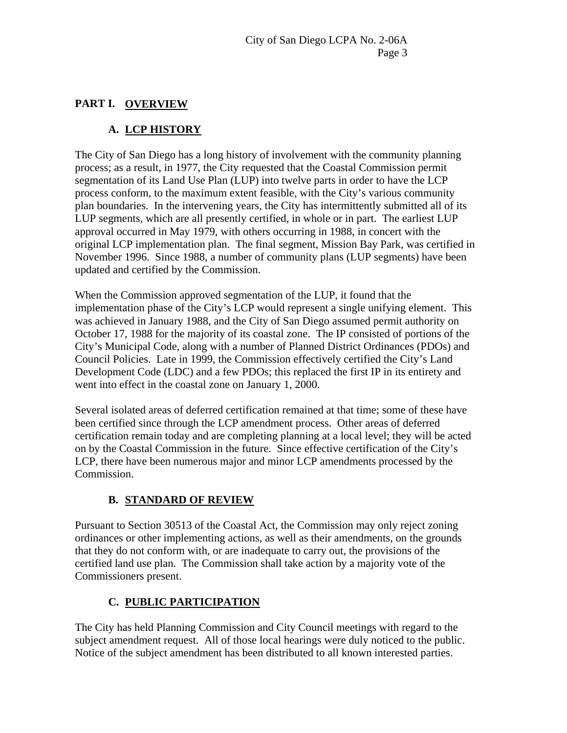## **PART I. OVERVIEW**

# **A. LCP HISTORY**

The City of San Diego has a long history of involvement with the community planning process; as a result, in 1977, the City requested that the Coastal Commission permit segmentation of its Land Use Plan (LUP) into twelve parts in order to have the LCP process conform, to the maximum extent feasible, with the City's various community plan boundaries. In the intervening years, the City has intermittently submitted all of its LUP segments, which are all presently certified, in whole or in part. The earliest LUP approval occurred in May 1979, with others occurring in 1988, in concert with the original LCP implementation plan. The final segment, Mission Bay Park, was certified in November 1996. Since 1988, a number of community plans (LUP segments) have been updated and certified by the Commission.

When the Commission approved segmentation of the LUP, it found that the implementation phase of the City's LCP would represent a single unifying element. This was achieved in January 1988, and the City of San Diego assumed permit authority on October 17, 1988 for the majority of its coastal zone. The IP consisted of portions of the City's Municipal Code, along with a number of Planned District Ordinances (PDOs) and Council Policies. Late in 1999, the Commission effectively certified the City's Land Development Code (LDC) and a few PDOs; this replaced the first IP in its entirety and went into effect in the coastal zone on January 1, 2000.

Several isolated areas of deferred certification remained at that time; some of these have been certified since through the LCP amendment process. Other areas of deferred certification remain today and are completing planning at a local level; they will be acted on by the Coastal Commission in the future. Since effective certification of the City's LCP, there have been numerous major and minor LCP amendments processed by the Commission.

# **B. STANDARD OF REVIEW**

Pursuant to Section 30513 of the Coastal Act, the Commission may only reject zoning ordinances or other implementing actions, as well as their amendments, on the grounds that they do not conform with, or are inadequate to carry out, the provisions of the certified land use plan. The Commission shall take action by a majority vote of the Commissioners present.

# **C. PUBLIC PARTICIPATION**

The City has held Planning Commission and City Council meetings with regard to the subject amendment request. All of those local hearings were duly noticed to the public. Notice of the subject amendment has been distributed to all known interested parties.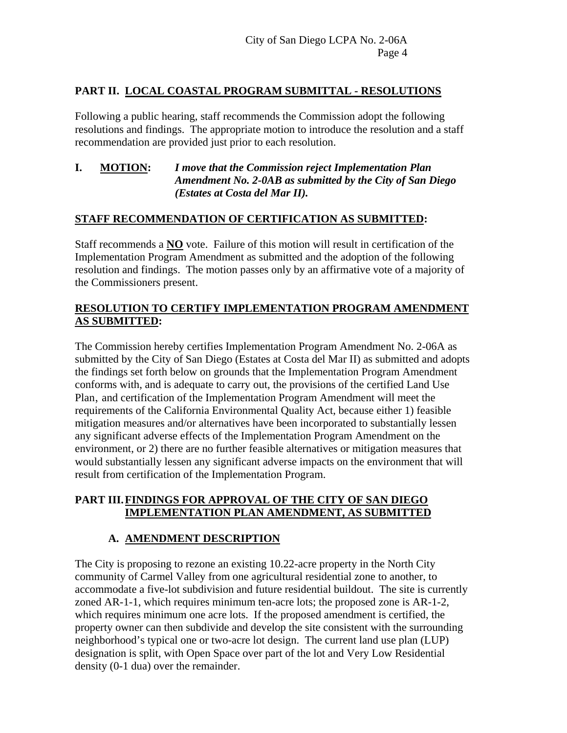## **PART II. LOCAL COASTAL PROGRAM SUBMITTAL - RESOLUTIONS**

Following a public hearing, staff recommends the Commission adopt the following resolutions and findings. The appropriate motion to introduce the resolution and a staff recommendation are provided just prior to each resolution.

#### **I. MOTION:** *I move that the Commission reject Implementation Plan Amendment No. 2-0AB as submitted by the City of San Diego (Estates at Costa del Mar II).*

## **STAFF RECOMMENDATION OF CERTIFICATION AS SUBMITTED:**

Staff recommends a **NO** vote. Failure of this motion will result in certification of the Implementation Program Amendment as submitted and the adoption of the following resolution and findings. The motion passes only by an affirmative vote of a majority of the Commissioners present.

## **RESOLUTION TO CERTIFY IMPLEMENTATION PROGRAM AMENDMENT AS SUBMITTED:**

The Commission hereby certifies Implementation Program Amendment No. 2-06A as submitted by the City of San Diego (Estates at Costa del Mar II) as submitted and adopts the findings set forth below on grounds that the Implementation Program Amendment conforms with, and is adequate to carry out, the provisions of the certified Land Use Plan, and certification of the Implementation Program Amendment will meet the requirements of the California Environmental Quality Act, because either 1) feasible mitigation measures and/or alternatives have been incorporated to substantially lessen any significant adverse effects of the Implementation Program Amendment on the environment, or 2) there are no further feasible alternatives or mitigation measures that would substantially lessen any significant adverse impacts on the environment that will result from certification of the Implementation Program.

#### **PART III. FINDINGS FOR APPROVAL OF THE CITY OF SAN DIEGO IMPLEMENTATION PLAN AMENDMENT, AS SUBMITTED**

# **A. AMENDMENT DESCRIPTION**

The City is proposing to rezone an existing 10.22-acre property in the North City community of Carmel Valley from one agricultural residential zone to another, to accommodate a five-lot subdivision and future residential buildout. The site is currently zoned AR-1-1, which requires minimum ten-acre lots; the proposed zone is AR-1-2, which requires minimum one acre lots. If the proposed amendment is certified, the property owner can then subdivide and develop the site consistent with the surrounding neighborhood's typical one or two-acre lot design. The current land use plan (LUP) designation is split, with Open Space over part of the lot and Very Low Residential density (0-1 dua) over the remainder.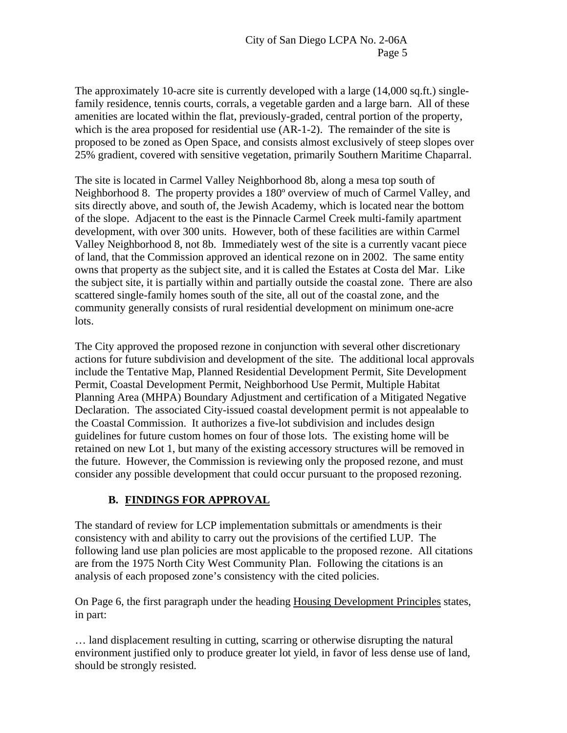The approximately 10-acre site is currently developed with a large (14,000 sq.ft.) singlefamily residence, tennis courts, corrals, a vegetable garden and a large barn. All of these amenities are located within the flat, previously-graded, central portion of the property, which is the area proposed for residential use (AR-1-2). The remainder of the site is proposed to be zoned as Open Space, and consists almost exclusively of steep slopes over 25% gradient, covered with sensitive vegetation, primarily Southern Maritime Chaparral.

The site is located in Carmel Valley Neighborhood 8b, along a mesa top south of Neighborhood 8. The property provides a 180º overview of much of Carmel Valley, and sits directly above, and south of, the Jewish Academy, which is located near the bottom of the slope. Adjacent to the east is the Pinnacle Carmel Creek multi-family apartment development, with over 300 units. However, both of these facilities are within Carmel Valley Neighborhood 8, not 8b. Immediately west of the site is a currently vacant piece of land, that the Commission approved an identical rezone on in 2002. The same entity owns that property as the subject site, and it is called the Estates at Costa del Mar. Like the subject site, it is partially within and partially outside the coastal zone. There are also scattered single-family homes south of the site, all out of the coastal zone, and the community generally consists of rural residential development on minimum one-acre lots.

The City approved the proposed rezone in conjunction with several other discretionary actions for future subdivision and development of the site. The additional local approvals include the Tentative Map, Planned Residential Development Permit, Site Development Permit, Coastal Development Permit, Neighborhood Use Permit, Multiple Habitat Planning Area (MHPA) Boundary Adjustment and certification of a Mitigated Negative Declaration. The associated City-issued coastal development permit is not appealable to the Coastal Commission. It authorizes a five-lot subdivision and includes design guidelines for future custom homes on four of those lots. The existing home will be retained on new Lot 1, but many of the existing accessory structures will be removed in the future. However, the Commission is reviewing only the proposed rezone, and must consider any possible development that could occur pursuant to the proposed rezoning.

# **B. FINDINGS FOR APPROVAL**

The standard of review for LCP implementation submittals or amendments is their consistency with and ability to carry out the provisions of the certified LUP. The following land use plan policies are most applicable to the proposed rezone. All citations are from the 1975 North City West Community Plan. Following the citations is an analysis of each proposed zone's consistency with the cited policies.

On Page 6, the first paragraph under the heading Housing Development Principles states, in part:

… land displacement resulting in cutting, scarring or otherwise disrupting the natural environment justified only to produce greater lot yield, in favor of less dense use of land, should be strongly resisted.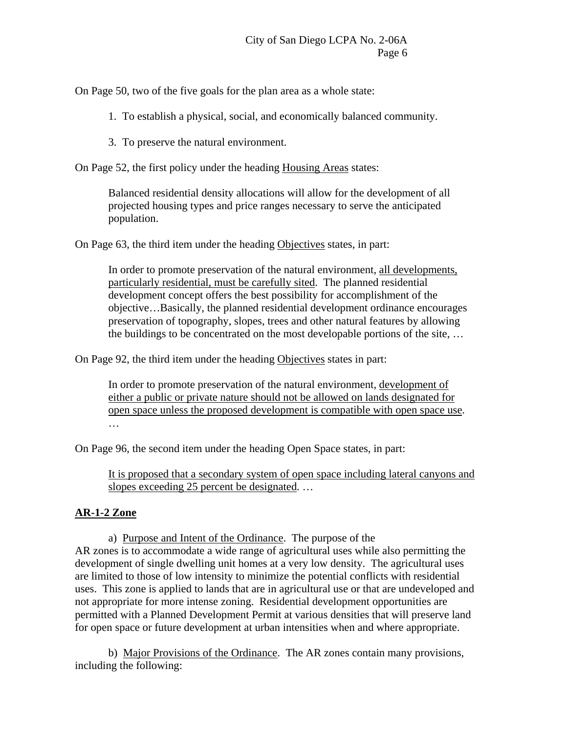On Page 50, two of the five goals for the plan area as a whole state:

- 1. To establish a physical, social, and economically balanced community.
- 3. To preserve the natural environment.

On Page 52, the first policy under the heading Housing Areas states:

Balanced residential density allocations will allow for the development of all projected housing types and price ranges necessary to serve the anticipated population.

On Page 63, the third item under the heading Objectives states, in part:

In order to promote preservation of the natural environment, all developments, particularly residential, must be carefully sited. The planned residential development concept offers the best possibility for accomplishment of the objective…Basically, the planned residential development ordinance encourages preservation of topography, slopes, trees and other natural features by allowing the buildings to be concentrated on the most developable portions of the site, …

On Page 92, the third item under the heading Objectives states in part:

In order to promote preservation of the natural environment, development of either a public or private nature should not be allowed on lands designated for open space unless the proposed development is compatible with open space use. …

On Page 96, the second item under the heading Open Space states, in part:

It is proposed that a secondary system of open space including lateral canyons and slopes exceeding 25 percent be designated...

## **AR-1-2 Zone**

 a) Purpose and Intent of the Ordinance. The purpose of the AR zones is to accommodate a wide range of agricultural uses while also permitting the development of single dwelling unit homes at a very low density. The agricultural uses are limited to those of low intensity to minimize the potential conflicts with residential uses. This zone is applied to lands that are in agricultural use or that are undeveloped and not appropriate for more intense zoning. Residential development opportunities are permitted with a Planned Development Permit at various densities that will preserve land for open space or future development at urban intensities when and where appropriate.

 b) Major Provisions of the Ordinance. The AR zones contain many provisions, including the following: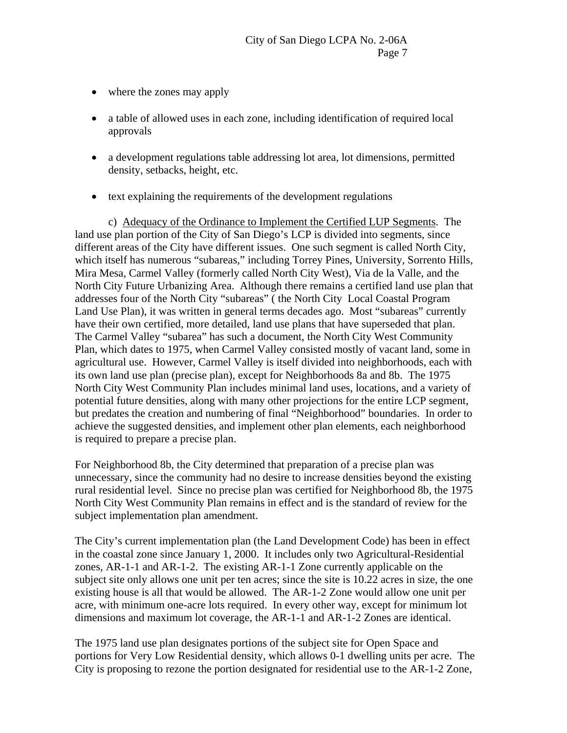- where the zones may apply
- a table of allowed uses in each zone, including identification of required local approvals
- a development regulations table addressing lot area, lot dimensions, permitted density, setbacks, height, etc.
- text explaining the requirements of the development regulations

 c) Adequacy of the Ordinance to Implement the Certified LUP Segments. The land use plan portion of the City of San Diego's LCP is divided into segments, since different areas of the City have different issues. One such segment is called North City, which itself has numerous "subareas," including Torrey Pines, University, Sorrento Hills, Mira Mesa, Carmel Valley (formerly called North City West), Via de la Valle, and the North City Future Urbanizing Area. Although there remains a certified land use plan that addresses four of the North City "subareas" ( the North City Local Coastal Program Land Use Plan), it was written in general terms decades ago. Most "subareas" currently have their own certified, more detailed, land use plans that have superseded that plan. The Carmel Valley "subarea" has such a document, the North City West Community Plan, which dates to 1975, when Carmel Valley consisted mostly of vacant land, some in agricultural use. However, Carmel Valley is itself divided into neighborhoods, each with its own land use plan (precise plan), except for Neighborhoods 8a and 8b. The 1975 North City West Community Plan includes minimal land uses, locations, and a variety of potential future densities, along with many other projections for the entire LCP segment, but predates the creation and numbering of final "Neighborhood" boundaries. In order to achieve the suggested densities, and implement other plan elements, each neighborhood is required to prepare a precise plan.

For Neighborhood 8b, the City determined that preparation of a precise plan was unnecessary, since the community had no desire to increase densities beyond the existing rural residential level. Since no precise plan was certified for Neighborhood 8b, the 1975 North City West Community Plan remains in effect and is the standard of review for the subject implementation plan amendment.

The City's current implementation plan (the Land Development Code) has been in effect in the coastal zone since January 1, 2000. It includes only two Agricultural-Residential zones, AR-1-1 and AR-1-2. The existing AR-1-1 Zone currently applicable on the subject site only allows one unit per ten acres; since the site is 10.22 acres in size, the one existing house is all that would be allowed. The AR-1-2 Zone would allow one unit per acre, with minimum one-acre lots required. In every other way, except for minimum lot dimensions and maximum lot coverage, the AR-1-1 and AR-1-2 Zones are identical.

The 1975 land use plan designates portions of the subject site for Open Space and portions for Very Low Residential density, which allows 0-1 dwelling units per acre. The City is proposing to rezone the portion designated for residential use to the AR-1-2 Zone,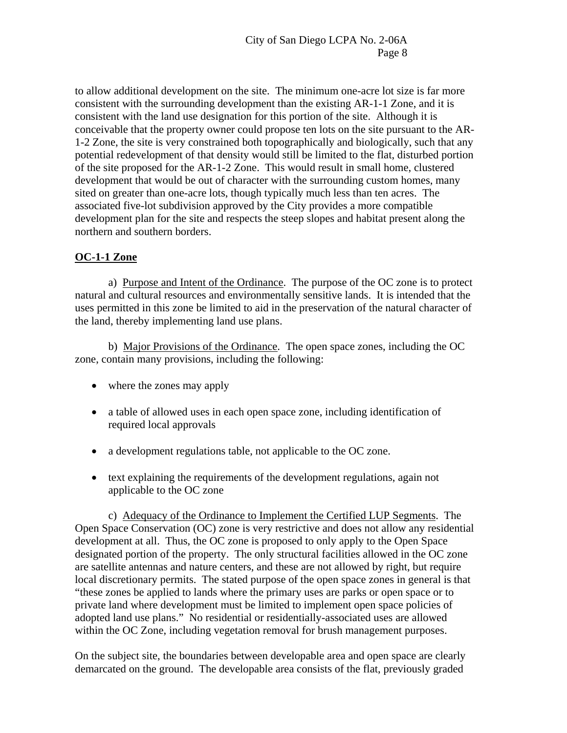to allow additional development on the site. The minimum one-acre lot size is far more consistent with the surrounding development than the existing AR-1-1 Zone, and it is consistent with the land use designation for this portion of the site. Although it is conceivable that the property owner could propose ten lots on the site pursuant to the AR-1-2 Zone, the site is very constrained both topographically and biologically, such that any potential redevelopment of that density would still be limited to the flat, disturbed portion of the site proposed for the AR-1-2 Zone. This would result in small home, clustered development that would be out of character with the surrounding custom homes, many sited on greater than one-acre lots, though typically much less than ten acres. The associated five-lot subdivision approved by the City provides a more compatible development plan for the site and respects the steep slopes and habitat present along the northern and southern borders.

## **OC-1-1 Zone**

 a) Purpose and Intent of the Ordinance. The purpose of the OC zone is to protect natural and cultural resources and environmentally sensitive lands. It is intended that the uses permitted in this zone be limited to aid in the preservation of the natural character of the land, thereby implementing land use plans.

 b) Major Provisions of the Ordinance. The open space zones, including the OC zone, contain many provisions, including the following:

- where the zones may apply
- a table of allowed uses in each open space zone, including identification of required local approvals
- a development regulations table, not applicable to the OC zone.
- text explaining the requirements of the development regulations, again not applicable to the OC zone

 c) Adequacy of the Ordinance to Implement the Certified LUP Segments. The Open Space Conservation (OC) zone is very restrictive and does not allow any residential development at all. Thus, the OC zone is proposed to only apply to the Open Space designated portion of the property. The only structural facilities allowed in the OC zone are satellite antennas and nature centers, and these are not allowed by right, but require local discretionary permits. The stated purpose of the open space zones in general is that "these zones be applied to lands where the primary uses are parks or open space or to private land where development must be limited to implement open space policies of adopted land use plans." No residential or residentially-associated uses are allowed within the OC Zone, including vegetation removal for brush management purposes.

On the subject site, the boundaries between developable area and open space are clearly demarcated on the ground. The developable area consists of the flat, previously graded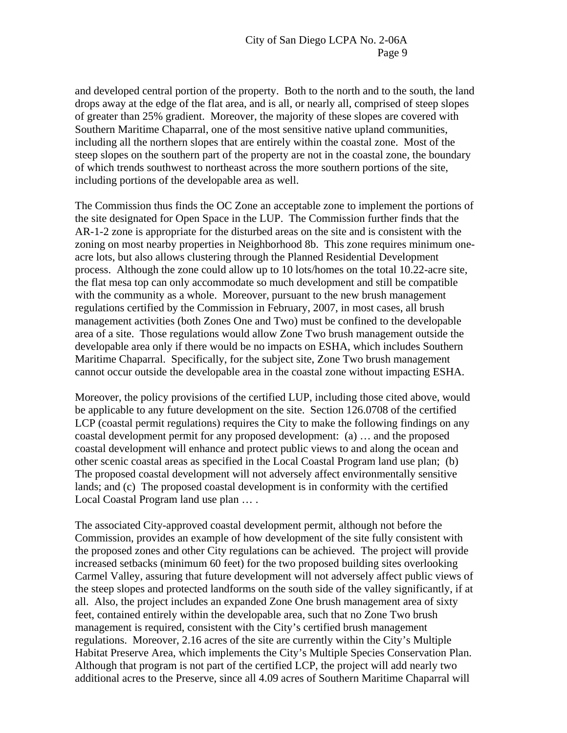and developed central portion of the property. Both to the north and to the south, the land drops away at the edge of the flat area, and is all, or nearly all, comprised of steep slopes of greater than 25% gradient. Moreover, the majority of these slopes are covered with Southern Maritime Chaparral, one of the most sensitive native upland communities, including all the northern slopes that are entirely within the coastal zone. Most of the steep slopes on the southern part of the property are not in the coastal zone, the boundary of which trends southwest to northeast across the more southern portions of the site, including portions of the developable area as well.

The Commission thus finds the OC Zone an acceptable zone to implement the portions of the site designated for Open Space in the LUP. The Commission further finds that the AR-1-2 zone is appropriate for the disturbed areas on the site and is consistent with the zoning on most nearby properties in Neighborhood 8b. This zone requires minimum oneacre lots, but also allows clustering through the Planned Residential Development process. Although the zone could allow up to 10 lots/homes on the total 10.22-acre site, the flat mesa top can only accommodate so much development and still be compatible with the community as a whole. Moreover, pursuant to the new brush management regulations certified by the Commission in February, 2007, in most cases, all brush management activities (both Zones One and Two) must be confined to the developable area of a site. Those regulations would allow Zone Two brush management outside the developable area only if there would be no impacts on ESHA, which includes Southern Maritime Chaparral. Specifically, for the subject site, Zone Two brush management cannot occur outside the developable area in the coastal zone without impacting ESHA.

Moreover, the policy provisions of the certified LUP, including those cited above, would be applicable to any future development on the site. Section 126.0708 of the certified LCP (coastal permit regulations) requires the City to make the following findings on any coastal development permit for any proposed development: (a) … and the proposed coastal development will enhance and protect public views to and along the ocean and other scenic coastal areas as specified in the Local Coastal Program land use plan; (b) The proposed coastal development will not adversely affect environmentally sensitive lands; and (c) The proposed coastal development is in conformity with the certified Local Coastal Program land use plan … .

The associated City-approved coastal development permit, although not before the Commission, provides an example of how development of the site fully consistent with the proposed zones and other City regulations can be achieved. The project will provide increased setbacks (minimum 60 feet) for the two proposed building sites overlooking Carmel Valley, assuring that future development will not adversely affect public views of the steep slopes and protected landforms on the south side of the valley significantly, if at all. Also, the project includes an expanded Zone One brush management area of sixty feet, contained entirely within the developable area, such that no Zone Two brush management is required, consistent with the City's certified brush management regulations. Moreover, 2.16 acres of the site are currently within the City's Multiple Habitat Preserve Area, which implements the City's Multiple Species Conservation Plan. Although that program is not part of the certified LCP, the project will add nearly two additional acres to the Preserve, since all 4.09 acres of Southern Maritime Chaparral will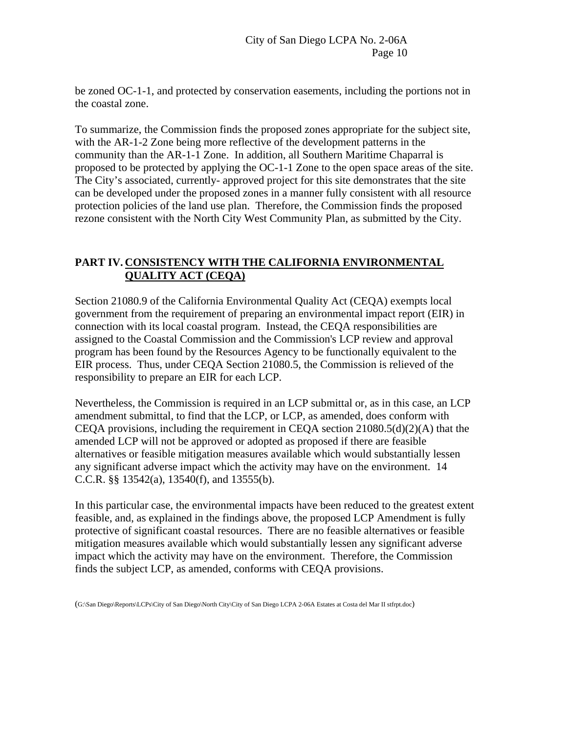be zoned OC-1-1, and protected by conservation easements, including the portions not in the coastal zone.

To summarize, the Commission finds the proposed zones appropriate for the subject site, with the AR-1-2 Zone being more reflective of the development patterns in the community than the AR-1-1 Zone. In addition, all Southern Maritime Chaparral is proposed to be protected by applying the OC-1-1 Zone to the open space areas of the site. The City's associated, currently- approved project for this site demonstrates that the site can be developed under the proposed zones in a manner fully consistent with all resource protection policies of the land use plan. Therefore, the Commission finds the proposed rezone consistent with the North City West Community Plan, as submitted by the City.

## **PART IV. CONSISTENCY WITH THE CALIFORNIA ENVIRONMENTAL QUALITY ACT (CEQA)**

Section 21080.9 of the California Environmental Quality Act (CEQA) exempts local government from the requirement of preparing an environmental impact report (EIR) in connection with its local coastal program. Instead, the CEQA responsibilities are assigned to the Coastal Commission and the Commission's LCP review and approval program has been found by the Resources Agency to be functionally equivalent to the EIR process. Thus, under CEQA Section 21080.5, the Commission is relieved of the responsibility to prepare an EIR for each LCP.

Nevertheless, the Commission is required in an LCP submittal or, as in this case, an LCP amendment submittal, to find that the LCP, or LCP, as amended, does conform with CEQA provisions, including the requirement in CEQA section 21080.5(d)(2)(A) that the amended LCP will not be approved or adopted as proposed if there are feasible alternatives or feasible mitigation measures available which would substantially lessen any significant adverse impact which the activity may have on the environment. 14 C.C.R. §§ 13542(a), 13540(f), and 13555(b).

In this particular case, the environmental impacts have been reduced to the greatest extent feasible, and, as explained in the findings above, the proposed LCP Amendment is fully protective of significant coastal resources. There are no feasible alternatives or feasible mitigation measures available which would substantially lessen any significant adverse impact which the activity may have on the environment. Therefore, the Commission finds the subject LCP, as amended, conforms with CEQA provisions.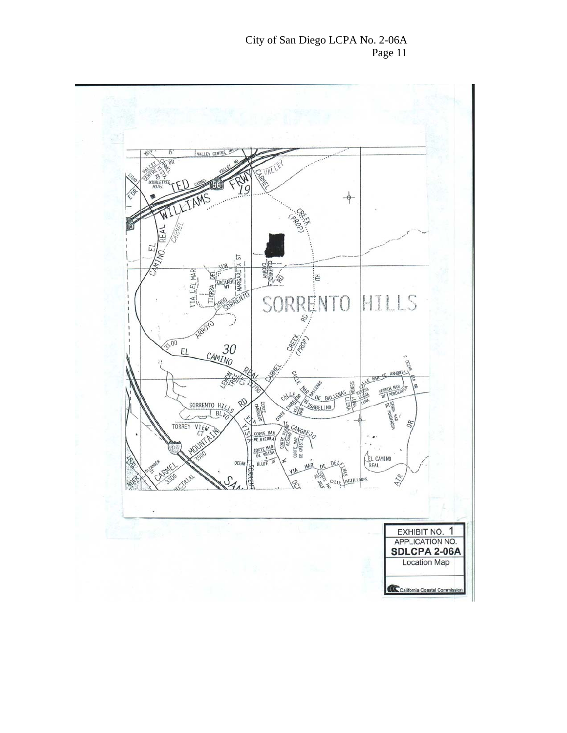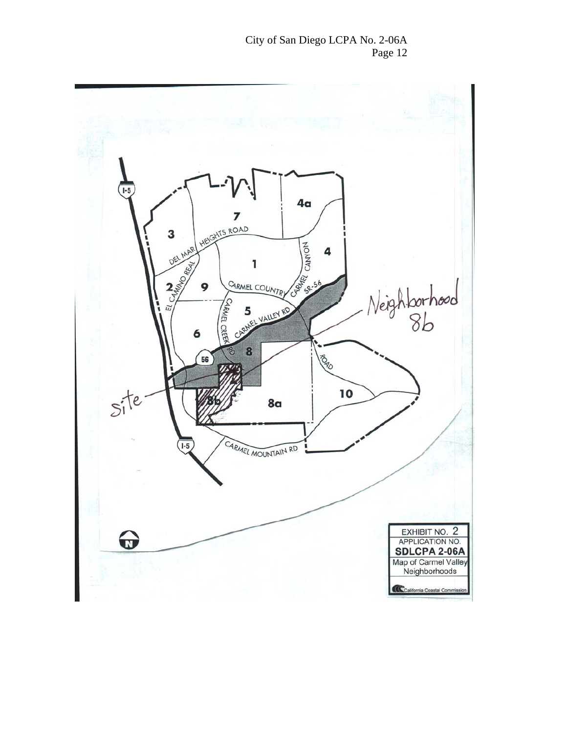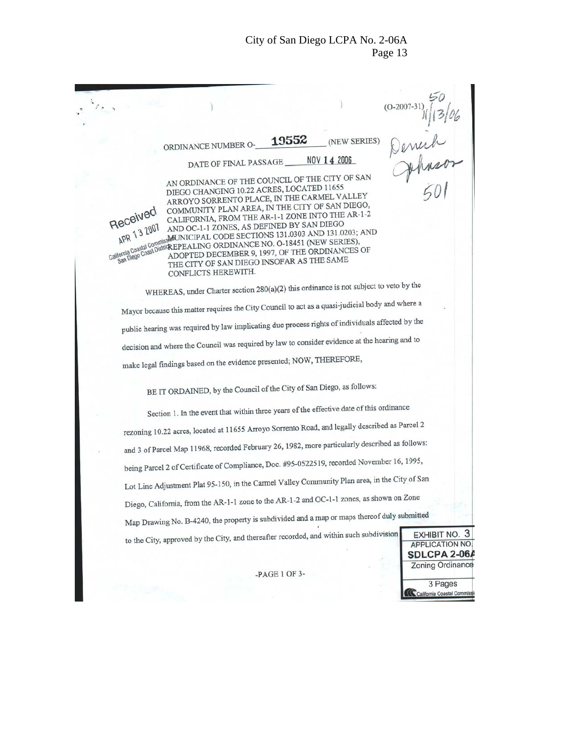$(O-2007 -$ 0-2007-31) 1/13/06<br>Denick<br>Johnsor<br>GOI 19552 (NEW SERIES) ORDINANCE NUMBER O-NOV 14 2006 DATE OF FINAL PASSAGE AN ORDINANCE OF THE COUNCIL OF THE CITY OF SAN DIEGO CHANGING 10.22 ACRES, LOCATED 11655 DIEGO CHANGING 10.22 ACKES, LOCATED VALLEY<br>ARROYO SORRENTO PLACE, IN THE CARMEL VALLEY ARROYO SORRENTO PLACE, IN THE CANDLES AN DIEGO,<br>COMMUNITY PLAN AREA, IN THE CITY OF SAN DIEGO, Received COMMUNITY PLAN AREA, IN THE CITY OF STATE AR-1-2<br>CALIFORNIA, FROM THE AR-1-1 ZONE INTO THE AR-1-2 CALIFORNIA, FROM THE AR-1-1 2012 AND DIEGO<br>AND OC-1-1 ZONES, AS DEFINED BY SAN DIEGO  $APR$  13  $2001$ AND OC-1-1 ZONES, AS DEFINED BY SAN DISCOVER AND 1979.<br>MUNICIPAL CODE SECTIONS 131.0303 AND 131.0203; AND west MUNICIPAL CODE SECTIONS 191.02451 (NEW SERIES), APR<br>California Coastal Co REPEALING ORDINANCE NO. 0-16451 (MD IN ANCES OF ADOPTED DECEMBER 9, 1997, OF THE ORDINANCES OF fornia<br>San Diego ADOPTED DECEMBER 9, 1997, OF THE CREATING<br>THE CITY OF SAN DIEGO INSOFAR AS THE SAME CONFLICTS HEREWITH. WHEREAS, under Charter section 280(a)(2) this ordinance is not subject to veto by the Mayor because this matter requires the City Council to act as a quasi-judicial body and where a public hearing was required by law implicating due process rights of individuals affected by the decision and where the Council was required by law to consider evidence at the hearing and to make legal findings based on the evidence presented; NOW, THEREFORE, BE IT ORDAINED, by the Council of the City of San Diego, as follows: Section 1. In the event that within three years of the effective date of this ordinance rezoning 10.22 acres, located at 11655 Arroyo Sorrento Road, and legally described as Parcel 2 and 3 of Parcel Map 11968, recorded February 26, 1982, more particularly described as follows: being Parcel 2 of Certificate of Compliance, Doc. #95-0522519, recorded November 16, 1995, Lot Line Adjustment Plat 95-150, in the Carmel Valley Community Plan area, in the City of San Diego, California, from the AR-1-1 zone to the AR-1-2 and OC-1-1 zones, as shown on Zone Map Drawing No. B-4240, the property is subdivided and a map or maps thereof duly submitted to the City, approved by the City, and thereafter recorded, and within such subdivision EXHIBIT NO. 3 APPLICATION NO. SDLCPA 2-06A **Zoning Ordinance** -PAGE 1 OF 3-3 Pages California Coastal Con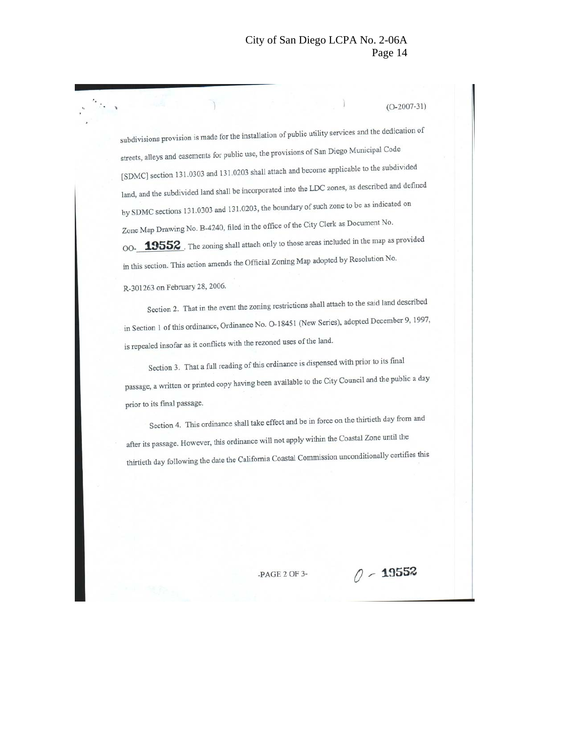$(O-2007-31)$ 

subdivisions provision is made for the installation of public utility services and the dedication of streets, alleys and easements for public use, the provisions of San Diego Municipal Code [SDMC] section 131.0303 and 131.0203 shall attach and become applicable to the subdivided land, and the subdivided land shall be incorporated into the LDC zones, as described and defined by SDMC sections 131.0303 and 131.0203, the boundary of such zone to be as indicated on Zone Map Drawing No. B-4240, filed in the office of the City Clerk as Document No. 00-**19552**. The zoning shall attach only to those areas included in the map as provided in this section. This action amends the Official Zoning Map adopted by Resolution No.

R-301263 on February 28, 2006.

Section 2. That in the event the zoning restrictions shall attach to the said land described in Section 1 of this ordinance, Ordinance No. O-18451 (New Series), adopted December 9, 1997, is repealed insofar as it conflicts with the rezoned uses of the land.

Section 3. That a full reading of this ordinance is dispensed with prior to its final passage, a written or printed copy having been available to the City Council and the public a day prior to its final passage.

Section 4. This ordinance shall take effect and be in force on the thirtieth day from and after its passage. However, this ordinance will not apply within the Coastal Zone until the thirtieth day following the date the California Coastal Commission unconditionally certifies this

 $-PAGE 2 OF 3-$ 

 $0 - 19552$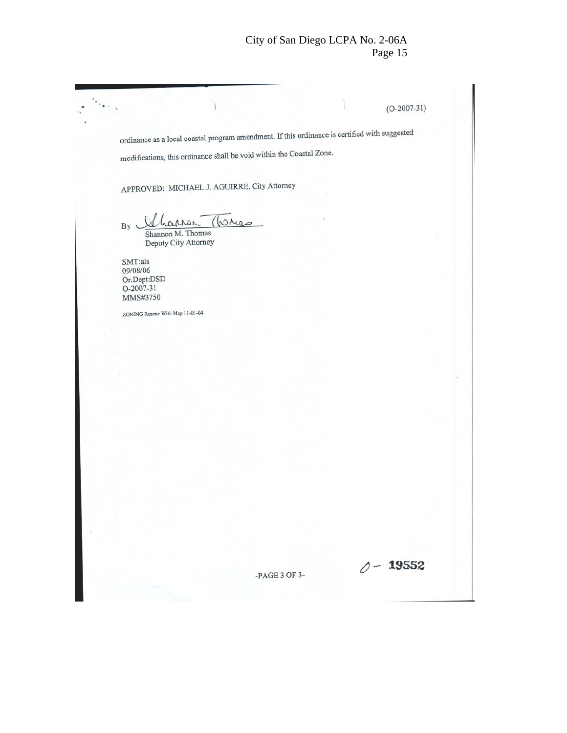$(O-2007-31)$ 

ordinance as a local coastal program amendment. If this ordinance is certified with suggested modifications, this ordinance shall be void within the Coastal Zone. APPROVED: MICHAEL J. AGUIRRE, City Attorney By Shannon M. Thomas Deputy City Attorney  $\text{SMT:}\text{als}$ 09/08/06 Or.Dept:DSD<br>O-2007-31 MMS#3750 ZONING Rezone With Map 11-01-04

-PAGE 3 OF 3-

 $0 - 19552$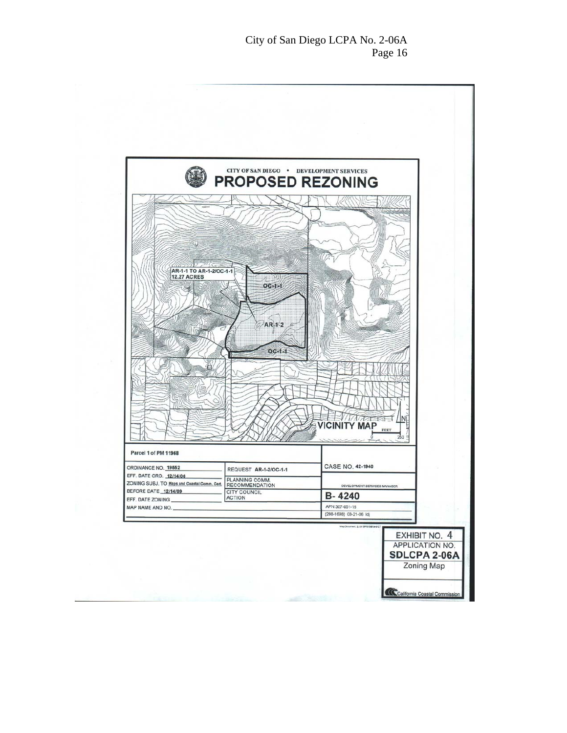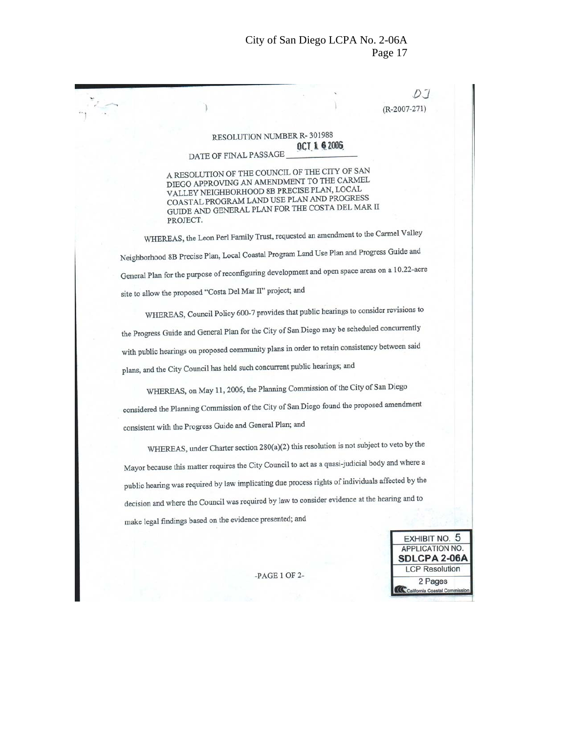| PROJECT. | DATE OF FINAL PASSAGE<br>A RESOLUTION OF THE COUNCIL OF THE CITY OF SAN<br>DIEGO APPROVING AN AMENDMENT TO THE CARMEL<br>VALLEY NEIGHBORHOOD 8B PRECISE PLAN, LOCAL<br>COASTAL PROGRAM LAND USE PLAN AND PROGRESS<br>GUIDE AND GENERAL PLAN FOR THE COSTA DEL MAR II<br>site to allow the proposed "Costa Del Mar II" project; and | RESOLUTION NUMBER R-301988                                                | OCT 1 6 2006 | $(R-2007-271)$<br>WHEREAS, the Leon Perl Family Trust, requested an amendment to the Carmel Valley<br>Neighborhood 8B Precise Plan, Local Coastal Program Land Use Plan and Progress Guide and<br>General Plan for the purpose of reconfiguring development and open space areas on a 10.22-acre<br>WHEREAS, Council Policy 600-7 provides that public hearings to consider revisions to<br>the Progress Guide and General Plan for the City of San Diego may be scheduled concurrently |
|----------|------------------------------------------------------------------------------------------------------------------------------------------------------------------------------------------------------------------------------------------------------------------------------------------------------------------------------------|---------------------------------------------------------------------------|--------------|-----------------------------------------------------------------------------------------------------------------------------------------------------------------------------------------------------------------------------------------------------------------------------------------------------------------------------------------------------------------------------------------------------------------------------------------------------------------------------------------|
|          |                                                                                                                                                                                                                                                                                                                                    |                                                                           |              |                                                                                                                                                                                                                                                                                                                                                                                                                                                                                         |
|          |                                                                                                                                                                                                                                                                                                                                    |                                                                           |              |                                                                                                                                                                                                                                                                                                                                                                                                                                                                                         |
|          |                                                                                                                                                                                                                                                                                                                                    |                                                                           |              |                                                                                                                                                                                                                                                                                                                                                                                                                                                                                         |
|          |                                                                                                                                                                                                                                                                                                                                    |                                                                           |              |                                                                                                                                                                                                                                                                                                                                                                                                                                                                                         |
|          |                                                                                                                                                                                                                                                                                                                                    |                                                                           |              |                                                                                                                                                                                                                                                                                                                                                                                                                                                                                         |
|          |                                                                                                                                                                                                                                                                                                                                    |                                                                           |              |                                                                                                                                                                                                                                                                                                                                                                                                                                                                                         |
|          |                                                                                                                                                                                                                                                                                                                                    |                                                                           |              |                                                                                                                                                                                                                                                                                                                                                                                                                                                                                         |
|          |                                                                                                                                                                                                                                                                                                                                    |                                                                           |              |                                                                                                                                                                                                                                                                                                                                                                                                                                                                                         |
|          |                                                                                                                                                                                                                                                                                                                                    |                                                                           |              |                                                                                                                                                                                                                                                                                                                                                                                                                                                                                         |
|          |                                                                                                                                                                                                                                                                                                                                    |                                                                           |              |                                                                                                                                                                                                                                                                                                                                                                                                                                                                                         |
|          |                                                                                                                                                                                                                                                                                                                                    |                                                                           |              |                                                                                                                                                                                                                                                                                                                                                                                                                                                                                         |
|          |                                                                                                                                                                                                                                                                                                                                    |                                                                           |              | with public hearings on proposed community plans in order to retain consistency between said                                                                                                                                                                                                                                                                                                                                                                                            |
|          |                                                                                                                                                                                                                                                                                                                                    | plans, and the City Council has held such concurrent public hearings; and |              |                                                                                                                                                                                                                                                                                                                                                                                                                                                                                         |
|          | WHEREAS, on May 11, 2006, the Planning Commission of the City of San Diego                                                                                                                                                                                                                                                         |                                                                           |              |                                                                                                                                                                                                                                                                                                                                                                                                                                                                                         |
|          |                                                                                                                                                                                                                                                                                                                                    |                                                                           |              | considered the Planning Commission of the City of San Diego found the proposed amendment                                                                                                                                                                                                                                                                                                                                                                                                |
|          | consistent with the Progress Guide and General Plan; and                                                                                                                                                                                                                                                                           |                                                                           |              |                                                                                                                                                                                                                                                                                                                                                                                                                                                                                         |
|          |                                                                                                                                                                                                                                                                                                                                    |                                                                           |              | WHEREAS, under Charter section 280(a)(2) this resolution is not subject to veto by the                                                                                                                                                                                                                                                                                                                                                                                                  |
|          |                                                                                                                                                                                                                                                                                                                                    |                                                                           |              | Mayor because this matter requires the City Council to act as a quasi-judicial body and where a                                                                                                                                                                                                                                                                                                                                                                                         |
|          |                                                                                                                                                                                                                                                                                                                                    |                                                                           |              | public hearing was required by law implicating due process rights of individuals affected by the                                                                                                                                                                                                                                                                                                                                                                                        |
|          |                                                                                                                                                                                                                                                                                                                                    |                                                                           |              | decision and where the Council was required by law to consider evidence at the hearing and to                                                                                                                                                                                                                                                                                                                                                                                           |
|          | make legal findings based on the evidence presented; and                                                                                                                                                                                                                                                                           |                                                                           |              |                                                                                                                                                                                                                                                                                                                                                                                                                                                                                         |
|          |                                                                                                                                                                                                                                                                                                                                    |                                                                           |              | <b>EXHIBIT NO. 5</b><br>APPLICATION NO.<br><b>SDLCPA 2-06A</b>                                                                                                                                                                                                                                                                                                                                                                                                                          |
|          |                                                                                                                                                                                                                                                                                                                                    | $-PAGE 1 OF 2-$                                                           |              | <b>LCP Resolution</b><br>2 Pages                                                                                                                                                                                                                                                                                                                                                                                                                                                        |
|          |                                                                                                                                                                                                                                                                                                                                    |                                                                           |              | California Coastal Commission                                                                                                                                                                                                                                                                                                                                                                                                                                                           |
|          |                                                                                                                                                                                                                                                                                                                                    |                                                                           |              |                                                                                                                                                                                                                                                                                                                                                                                                                                                                                         |
|          |                                                                                                                                                                                                                                                                                                                                    |                                                                           |              |                                                                                                                                                                                                                                                                                                                                                                                                                                                                                         |